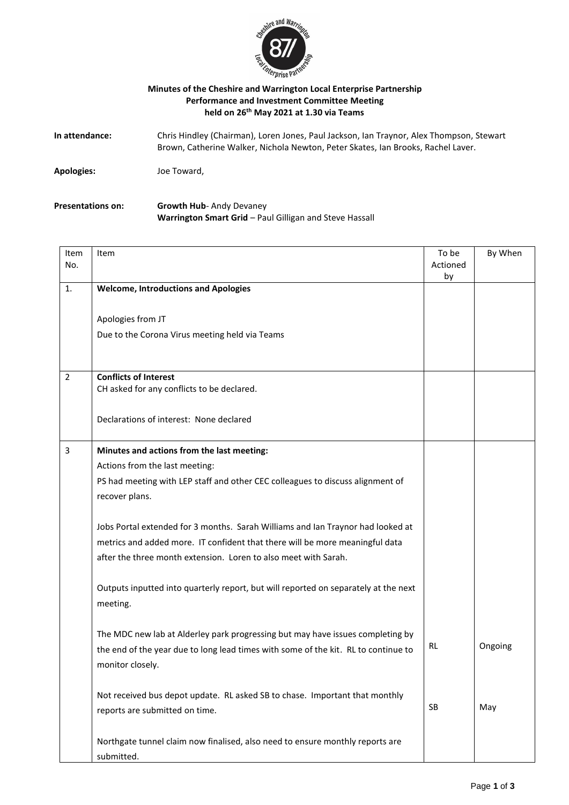

## **Minutes of the Cheshire and Warrington Local Enterprise Partnership Performance and Investment Committee Meeting held on 26 th May 2021 at 1.30 via Teams**

| In attendance: | Chris Hindley (Chairman), Loren Jones, Paul Jackson, Ian Traynor, Alex Thompson, Stewart |
|----------------|------------------------------------------------------------------------------------------|
|                | Brown, Catherine Walker, Nichola Newton, Peter Skates, Ian Brooks, Rachel Laver.         |
|                |                                                                                          |

**Apologies:** Joe Toward,

**Presentations on: Growth Hub**- Andy Devaney **Warrington Smart Grid** – Paul Gilligan and Steve Hassall

| Item<br>No.    | Item                                                                                | To be<br>Actioned<br>by | By When |
|----------------|-------------------------------------------------------------------------------------|-------------------------|---------|
| 1.             | <b>Welcome, Introductions and Apologies</b>                                         |                         |         |
|                |                                                                                     |                         |         |
|                | Apologies from JT                                                                   |                         |         |
|                | Due to the Corona Virus meeting held via Teams                                      |                         |         |
|                |                                                                                     |                         |         |
|                |                                                                                     |                         |         |
| $\overline{2}$ | <b>Conflicts of Interest</b><br>CH asked for any conflicts to be declared.          |                         |         |
|                |                                                                                     |                         |         |
|                | Declarations of interest: None declared                                             |                         |         |
|                |                                                                                     |                         |         |
| 3              | Minutes and actions from the last meeting:                                          |                         |         |
|                | Actions from the last meeting:                                                      |                         |         |
|                | PS had meeting with LEP staff and other CEC colleagues to discuss alignment of      |                         |         |
|                | recover plans.                                                                      |                         |         |
|                |                                                                                     |                         |         |
|                | Jobs Portal extended for 3 months. Sarah Williams and Ian Traynor had looked at     |                         |         |
|                | metrics and added more. IT confident that there will be more meaningful data        |                         |         |
|                | after the three month extension. Loren to also meet with Sarah.                     |                         |         |
|                |                                                                                     |                         |         |
|                | Outputs inputted into quarterly report, but will reported on separately at the next |                         |         |
|                | meeting.                                                                            |                         |         |
|                |                                                                                     |                         |         |
|                | The MDC new lab at Alderley park progressing but may have issues completing by      | RL                      | Ongoing |
|                | the end of the year due to long lead times with some of the kit. RL to continue to  |                         |         |
|                | monitor closely.                                                                    |                         |         |
|                | Not received bus depot update. RL asked SB to chase. Important that monthly         |                         |         |
|                | reports are submitted on time.                                                      | SB                      | May     |
|                |                                                                                     |                         |         |
|                | Northgate tunnel claim now finalised, also need to ensure monthly reports are       |                         |         |
|                | submitted.                                                                          |                         |         |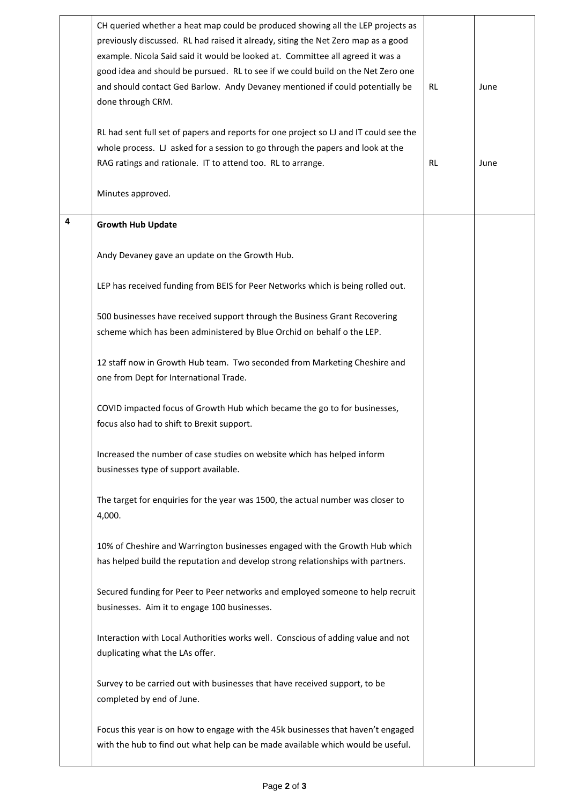|   | CH queried whether a heat map could be produced showing all the LEP projects as<br>previously discussed. RL had raised it already, siting the Net Zero map as a good<br>example. Nicola Said said it would be looked at. Committee all agreed it was a<br>good idea and should be pursued. RL to see if we could build on the Net Zero one<br>and should contact Ged Barlow. Andy Devaney mentioned if could potentially be<br>done through CRM.<br>RL had sent full set of papers and reports for one project so LJ and IT could see the<br>whole process. LJ asked for a session to go through the papers and look at the<br>RAG ratings and rationale. IT to attend too. RL to arrange.<br>Minutes approved. | <b>RL</b><br>RL | June<br>June |
|---|-----------------------------------------------------------------------------------------------------------------------------------------------------------------------------------------------------------------------------------------------------------------------------------------------------------------------------------------------------------------------------------------------------------------------------------------------------------------------------------------------------------------------------------------------------------------------------------------------------------------------------------------------------------------------------------------------------------------|-----------------|--------------|
| 4 | <b>Growth Hub Update</b>                                                                                                                                                                                                                                                                                                                                                                                                                                                                                                                                                                                                                                                                                        |                 |              |
|   | Andy Devaney gave an update on the Growth Hub.                                                                                                                                                                                                                                                                                                                                                                                                                                                                                                                                                                                                                                                                  |                 |              |
|   | LEP has received funding from BEIS for Peer Networks which is being rolled out.                                                                                                                                                                                                                                                                                                                                                                                                                                                                                                                                                                                                                                 |                 |              |
|   | 500 businesses have received support through the Business Grant Recovering<br>scheme which has been administered by Blue Orchid on behalf o the LEP.                                                                                                                                                                                                                                                                                                                                                                                                                                                                                                                                                            |                 |              |
|   | 12 staff now in Growth Hub team. Two seconded from Marketing Cheshire and<br>one from Dept for International Trade.                                                                                                                                                                                                                                                                                                                                                                                                                                                                                                                                                                                             |                 |              |
|   | COVID impacted focus of Growth Hub which became the go to for businesses,<br>focus also had to shift to Brexit support.                                                                                                                                                                                                                                                                                                                                                                                                                                                                                                                                                                                         |                 |              |
|   | Increased the number of case studies on website which has helped inform<br>businesses type of support available.                                                                                                                                                                                                                                                                                                                                                                                                                                                                                                                                                                                                |                 |              |
|   | The target for enquiries for the year was 1500, the actual number was closer to<br>4,000.                                                                                                                                                                                                                                                                                                                                                                                                                                                                                                                                                                                                                       |                 |              |
|   | 10% of Cheshire and Warrington businesses engaged with the Growth Hub which<br>has helped build the reputation and develop strong relationships with partners.                                                                                                                                                                                                                                                                                                                                                                                                                                                                                                                                                  |                 |              |
|   | Secured funding for Peer to Peer networks and employed someone to help recruit<br>businesses. Aim it to engage 100 businesses.                                                                                                                                                                                                                                                                                                                                                                                                                                                                                                                                                                                  |                 |              |
|   | Interaction with Local Authorities works well. Conscious of adding value and not<br>duplicating what the LAs offer.                                                                                                                                                                                                                                                                                                                                                                                                                                                                                                                                                                                             |                 |              |
|   | Survey to be carried out with businesses that have received support, to be<br>completed by end of June.                                                                                                                                                                                                                                                                                                                                                                                                                                                                                                                                                                                                         |                 |              |
|   | Focus this year is on how to engage with the 45k businesses that haven't engaged<br>with the hub to find out what help can be made available which would be useful.                                                                                                                                                                                                                                                                                                                                                                                                                                                                                                                                             |                 |              |